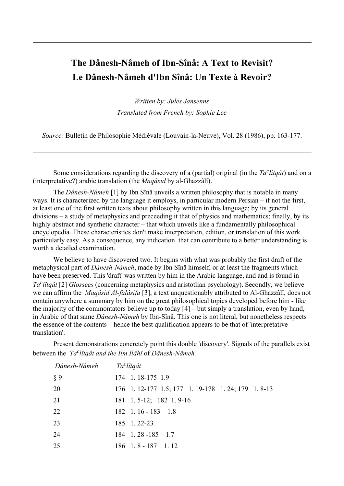# **The Dânesh-Nâmeh of Ibn-Sînâ: A Text to Revisit? Le Dânesh-Nâmeh d'Ibn Sînâ: Un Texte à Revoir?**

*Written by: Jules Jansenns Translated from French by: Sophie Lee*

*Source:* Bulletin de Philosophie Médiévale (Louvain-la-Neuve), Vol. 28 (1986), pp. 163-177.

Some considerations regarding the discovery of a (partial) original (in the  $Ta<sup>c</sup>li(qa t)$  and on a (interpretative?) arabic translation (the *Maqâsid* by al-Ghazzâlî).

The *Dânesh-Nâmeh* [1] by Ibn Sînâ unveils a written philosophy that is notable in many ways. It is characterized by the language it employs, in particular modern Persian – if not the first, at least one of the first written texts about philosophy written in this language; by its general divisions – a study of metaphysics and preceeding it that of physics and mathematics; finally, by its highly abstract and synthetic character – that which unveils like a fundamentally philosophical encyclopedia. These characteristics don't make interpretation, edition, or translation of this work particularly easy. As a consequence, any indication that can contribute to a better understanding is worth a detailed examination.

We believe to have discovered two. It begins with what was probably the first draft of the metaphysical part of *Dânesh-Nâmeh*, made by Ibn Sînâ himself, or at least the fragments which have been preserved. This 'draft' was written by him in the Arabic language, and and is found in *Ta c lîtqât* [2] *Glossees* (concerning metaphysics and aristotlian psychology). Secondly, we believe we can affirm the *Maqâsid Al-falâsifa* [3], a text unquestionably attributed to Al-Ghazzâlî, does not contain anywhere a summary by him on the great philosophical topics developed before him - like the majority of the commontators believe up to today [4] – but simply a translation, even by hand, in Arabic of that same *Dânesh-Nâmeh* by Ibn-Sînâ. This one is not literal, but nonetheless respects the essence of the contents – hence the best qualification appears to be that of 'interpretative translation'.

Present demonstrations concretely point this double 'discovery'. Signals of the parallels exist between the *Ta c lîtqât and the Ilm Ilâhî* of *Dânesh-Nâmeh.*

| Dânesh-Nâmeh | Ta <sup>c</sup> lîtgât                              |
|--------------|-----------------------------------------------------|
| § 9          | 174 1.18-175 1.9                                    |
| 20           | 176 1. 12-177 1.5; 177 1. 19-178 1. 24; 179 1. 8-13 |
| 21           | $181 \quad 1.5-12; \quad 182 \quad 1.9-16$          |
| 22           | $182 \quad 1.16 - 183 \quad 1.8$                    |
| 23           | 185 1.22-23                                         |
| 24           | 184 1.28 - 185 1.7                                  |
| 25           | $186 \quad 1.8 - 187 \quad 1.12$                    |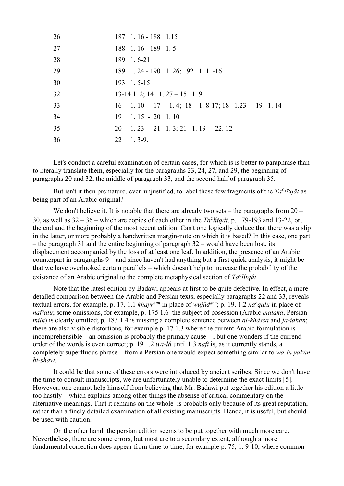| 26 | 187 1.16 - 188 1.15                                          |
|----|--------------------------------------------------------------|
| 27 | $188$ 1.16 - 189 1.5                                         |
| 28 | 189 1.6-21                                                   |
| 29 | 189 1.24 - 190 1.26; 192 1.11-16                             |
| 30 | 193 1.5-15                                                   |
| 32 | $13-14$ 1. 2; 14 1. 27 – 15 1. 9                             |
| 33 | $16$ 1.10 - 17 1.4; 18 1.8-17; 18 1.23 - 19 1.14             |
| 34 | $19 \quad 1, 15 - 20 \quad 1.10$                             |
| 35 | $20 \quad 1.23 \quad -21 \quad 1.3$ ; 21 $1.19 \quad -22.12$ |
| 36 | $22 \quad 1.3-9.$                                            |

Let's conduct a careful examination of certain cases, for which is is better to paraphrase than to literally translate them, especially for the paragraphs 23, 24, 27, and 29, the beginning of paragraphs 20 and 32, the middle of paragraph 33, and the second half of paragraph 35.

But isn't it then premature, even unjustified, to label these few fragments of the *Ta c lîtqât* as being part of an Arabic original?

We don't believe it. It is notable that there are already two sets – the paragraphs from  $20 -$ 30, as well as  $32 - 36$  – which are copies of each other in the  $Ta<sup>c</sup>liqat$ , p. 179-193 and 13-22, or, the end and the beginning of the most recent edition. Can't one logically deduce that there was a slip in the latter, or more probably a handwritten margin-note on which it is based? In this case, one part – the paragraph 31 and the entire beginning of paragraph 32 – would have been lost, its displacement accompanied by the loss of at least one leaf. In addition, the presence of an Arabic counterpart in paragraphs 9 – and since haven't had anything but a first quick analysis, it might be that we have overlooked certain parallels – which doesn't help to increase the probability of the existance of an Arabic original to the complete metaphysical section of *Ta*<sup>*c*</sup>lîtqât.

Note that the latest edition by Badawi appears at first to be quite defective. In effect, a more detailed comparison between the Arabic and Persian texts, especially paragraphs 22 and 33, reveals textual errors, for example, p. 17, 1.1 *khayr<sup>ann</sup>* in place of *wujûd*<sup>*ann*</sup>; p. 19, 1.2 *na*<sup>*o*</sup>*qalu* in place of *naf<sup>o</sup>alu*; some omissions, for example, p. 175 1.6 the subject of posession (Arabic *malaka*, Persian *milk*) is clearly omitted; p. 183 1.4 is missing a complete sentence between *al-khâssa* and *fa-idhan*; there are also visible distortions, for example p. 17 1.3 where the current Arabic formulation is incomprehensible – an omission is probably the primary cause – , but one wonders if the currend order of the words is even correct; p. 19 1.2 *wa-lâ* until 1.3 *nafi* is, as it currently stands, a completely superfluous phrase – from a Persian one would expect something similar to *wa-in yakûn bi-shaw*.

It could be that some of these errors were introduced by ancient scribes. Since we don't have the time to consult manuscripts, we are unfortunately unable to determine the exact limits [5]. However, one cannot help himself from believing that Mr. Badawi put together his edition a little too hastily – which explains among other things the absense of critical commentary on the alternative meanings. That it remains on the whole is probabls only because of its great reputation, rather than a finely detailed examination of all existing manuscripts. Hence, it is useful, but should be used with caution.

On the other hand, the persian edition seems to be put together with much more care. Nevertheless, there are some errors, but most are to a secondary extent, although a more fundamental correction does appear from time to time, for example p. 75, 1. 9-10, where common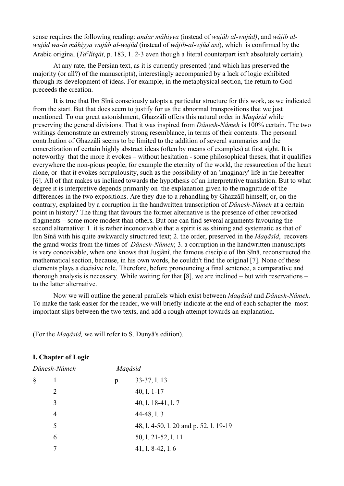sense requires the following reading: *andar mâhiyya* (instead of *wujûb al-wujûd)*, and *wâjib alwujûd wa-în mâhiyya wujûb al-wujûd* (instead of *wâjib-al-wjûd ast*), which is confirmed by the Arabic original (*Ta<sup>c</sup>lîtqât*, p. 183, 1. 2-3 even though a literal counterpart isn't absolutely certain).

At any rate, the Persian text, as it is currently presented (and which has preserved the majority (or all?) of the manuscripts), interestingly accompanied by a lack of logic exhibited through its development of ideas. For example, in the metaphysical section, the return to God preceeds the creation.

It is true that Ibn Sînâ consciously adopts a particular structure for this work, as we indicated from the start. But that does seem to justify for us the abnormal transpositions that we just mentioned. To our great astonishment, Ghazzâlî offers this natural order in *Maqâsid* while preserving the general divisions. That it was inspired from *Dânesh-Nâmeh* is 100% certain. The two writings demonstrate an extremely strong resemblance, in terms of their contents. The personal contribution of Ghazzâlî seems to be limited to the addition of several summaries and the concretization of certain highly abstract ideas (often by means of examples) at first sight. It is noteworthy that the more it evokes – without hesitation - some philosophical theses, that it qualifies everywhere the non-pious people, for example the eternity of the world, the ressurection of the heart alone, or that it evokes scrupulousity, such as the possibility of an 'imaginary' life in the hereafter [6]. All of that makes us inclined towards the hypothesis of an interpretative translation. But to what degree it is interpretive depends primarily on the explanation given to the magnitude of the differences in the two expositions. Are they due to a rehandling by Ghazzâlî himself, or, on the contrary, explained by a corruption in the handwritten transcription of *Dânesh-Nâmeh* at a certain point in history? The thing that favours the former alternative is the presence of other reworked fragments – some more modest than others. But one can find several arguments favouring the second alternative: 1. it is rather inconceivable that a spirit is as shining and systematic as that of Ibn Sînâ with his quite awkwardly structured text; 2. the order, preserved in the *Maqâsîd*, recovers the grand works from the times of *Dânesh-Nâmeh*; 3. a corruption in the handwritten manuscripts is very conceivable, when one knows that Jusjânî, the famous disciple of Ibn Sînâ, reconstructed the mathematical section, because, in his own words, he couldn't find the original [7]. None of these elements plays a decisive role. Therefore, before pronouncing a final sentence, a comparative and thorough analysis is necessary. While waiting for that [8], we are inclined – but with reservations – to the latter alternative.

Now we will outline the general parallels which exist between *Maqâsid* and *Dânesh-Nâmeh.* To make the task easier for the reader, we will briefly indicate at the end of each schapter the most important slips between the two texts, and add a rough attempt towards an explanation.

(For the *Maqâsid,* we will refer to S. Dunyâ's edition).

## **I. Chapter of Logic**

|   | Dânesh-Nâmeh   |             | Maqâsid                                |
|---|----------------|-------------|----------------------------------------|
| § |                | $p_{\cdot}$ | 33-37, 1.13                            |
|   | $\overline{2}$ |             | $40, 1.1 - 17$                         |
|   | 3              |             | 40, 1. 18-41, 1. 7                     |
|   | 4              |             | 44-48, 1.3                             |
|   | 5              |             | 48, 1. 4-50, 1. 20 and p. 52, 1. 19-19 |
|   | 6              |             | 50, 1. 21-52, 1. 11                    |
|   |                |             | 41, l. $8-42$ , l. 6                   |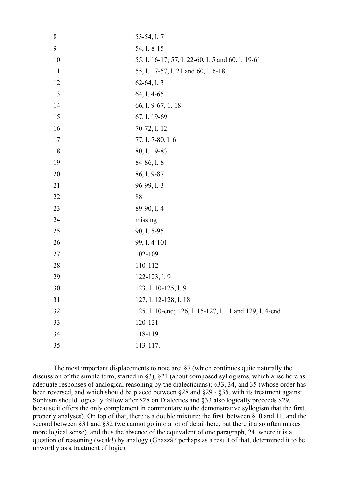| 8  | 53-54, 1.7                                              |
|----|---------------------------------------------------------|
| 9  | 54, 1.8-15                                              |
| 10 | 55, 1. 16-17; 57, 1. 22-60, 1. 5 and 60, 1. 19-61       |
| 11 | 55, l. 17-57, l. 21 and 60, l. 6-18.                    |
| 12 | $62-64, 1.3$                                            |
| 13 | 64, 1.4-65                                              |
| 14 | 66, 1. 9-67, 1. 18                                      |
| 15 | 67, 1. 19-69                                            |
| 16 | 70-72, 1.12                                             |
| 17 | 77, 1.7-80, 1.6                                         |
| 18 | 80, 1. 19-83                                            |
| 19 | 84-86, 1.8                                              |
| 20 | 86, 1.9-87                                              |
| 21 | 96-99, 1.3                                              |
| 22 | 88                                                      |
| 23 | 89-90, 1.4                                              |
| 24 | missing                                                 |
| 25 | 90, 1.5-95                                              |
| 26 | 99, 1.4-101                                             |
| 27 | 102-109                                                 |
| 28 | 110-112                                                 |
| 29 | 122-123, 1.9                                            |
| 30 | 123, 1. 10-125, 1. 9                                    |
| 31 | 127, 1. 12-128, 1. 18                                   |
| 32 | 125, l. 10-end; 126, l. 15-127, l. 11 and 129, l. 4-end |
| 33 | 120-121                                                 |
| 34 | 118-119                                                 |
| 35 | 113-117.                                                |

The most important displacements to note are: §7 (which continues quite naturally the discussion of the simple term, started in §3), §21 (about composed syllogisms, which arise here as adequate responses of analogical reasoning by the dialecticians); §33, 34, and 35 (whose order has been reversed, and which should be placed between §28 and §29 - §35, with its treatment against Sophism should logically follow after \$28 on Dialectics and §33 also logically preceeds \$29, because it offers the only complement in commentary to the demonstrative syllogism that the first properly analyses). On top of that, there is a double mixture: the first between §10 and 11, and the second between §31 and §32 (we cannot go into a lot of detail here, but there it also often makes more logical sense), and thus the absence of the equivalent of one paragraph, 24, where it is a question of reasoning (weak!) by analogy (Ghazzâlî perhaps as a result of that, determined it to be unworthy as a treatment of logic).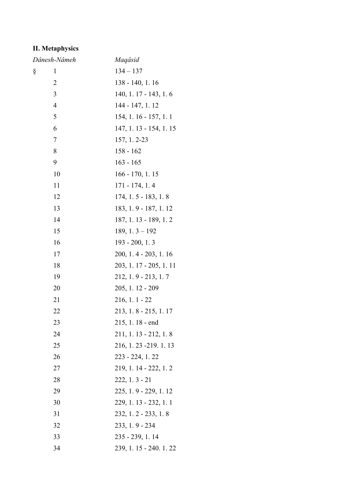# **II. Metaphysics**

| Dânesh-Nâmeh   | Maqâsid                 |
|----------------|-------------------------|
| 1<br>§         | $134 - 137$             |
| 2              | 138 - 140, 1. 16        |
| $\overline{3}$ | 140, 1. 17 - 143, 1. 6  |
| $\overline{4}$ | 144 - 147, 1.12         |
| 5              | $154, 1.16 - 157, 1.1$  |
| 6              | 147, 1. 13 - 154, 1. 15 |
| 7              | 157, 1.2-23             |
| 8              | $158 - 162$             |
| 9              | $163 - 165$             |
| 10             | 166 - 170, 1. 15        |
| 11             | $171 - 174, 1.4$        |
| 12             | $174, 1.5 - 183, 1.8$   |
| 13             | 183, 1.9 - 187, 1.12    |
| 14             | 187, 1. 13 - 189, 1. 2  |
| 15             | $189, 1.3 - 192$        |
| 16             | $193 - 200, 1.3$        |
| 17             | 200, 1.4 - 203, 1.16    |
| 18             | 203, 1. 17 - 205, 1. 11 |
| 19             | $212, 1.9 - 213, 1.7$   |
| 20             | $205, 1.12 - 209$       |
| 21             | $216, 1.1 - 22$         |
| 22             | 213, 1.8 - 215, 1.17    |
| 23             | $215, 1.18$ - end       |
| 24             | $211, 1.13 - 212, 1.8$  |
| 25             | 216, 1.23 -219. 1.13    |
| 26             | 223 - 224, 1.22         |
| 27             | $219, 1.14 - 222, 1.2$  |
| 28             | $222, 1.3 - 21$         |
| 29             | $225, 1.9 - 229, 1.12$  |
| 30             | 229, 1. 13 - 232, 1. 1  |
| 31             | $232, 1.2 - 233, 1.8$   |
| 32             | 233, 1.9 - 234          |
| 33             | 235 - 239, 1.14         |
| 34             | 239, 1.15 - 240.1.22    |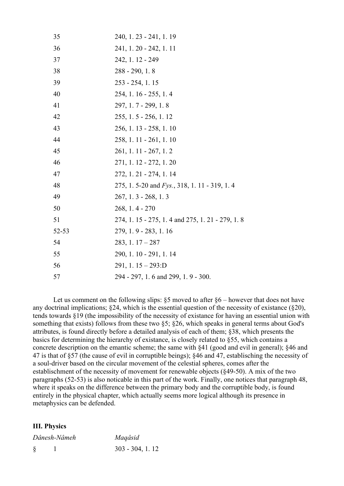| 35    | 240, 1. 23 - 241, 1. 19                            |
|-------|----------------------------------------------------|
| 36    | 241, 1.20 - 242, 1.11                              |
| 37    | 242, 1. 12 - 249                                   |
| 38    | $288 - 290, 1.8$                                   |
| 39    | $253 - 254$ , 1.15                                 |
| 40    | 254, 1. 16 - 255, 1. 4                             |
| 41    | 297, 1.7 - 299, 1.8                                |
| 42    | $255, 1.5 - 256, 1.12$                             |
| 43    | 256, 1. 13 - 258, 1. 10                            |
| 44    | 258, 1. 11 - 261, 1. 10                            |
| 45    | $261, 1.11 - 267, 1.2$                             |
| 46    | 271, 1. 12 - 272, 1. 20                            |
| 47    | 272, 1. 21 - 274, 1. 14                            |
| 48    | 275, 1.5-20 and <i>Fys.</i> , 318, 1.11 - 319, 1.4 |
| 49    | $267, 1.3 - 268, 1.3$                              |
| 50    | $268, 1.4 - 270$                                   |
| 51    | 274, 1. 15 - 275, 1. 4 and 275, 1. 21 - 279, 1. 8  |
| 52-53 | 279, 1.9 - 283, 1.16                               |
| 54    | $283, 1.17 - 287$                                  |
| 55    | 290, 1.10 - 291, 1.14                              |
| 56    | 291, 1. $15 - 293$ :D                              |
| 57    | 294 - 297, 1.6 and 299, 1.9 - 300.                 |

Let us comment on the following slips:  $\S5$  moved to after  $\S6$  – however that does not have any doctrinal implications;  $\S 24$ , which is the essential question of the necessity of existance ( $\S 20$ ), tends towards §19 (the impossibility of the necessity of existance for having an essential union with something that exists) follows from these two §5; §26, which speaks in general terms about God's attributes, is found directly before a detailed analysis of each of them; §38, which presents the basics for determining the hierarchy of existance, is closely related to §55, which contains a concrete description on the emantic scheme; the same with §41 (good and evil in general); §46 and 47 is that of §57 (the cause of evil in corruptible beings); §46 and 47, establisching the necessity of a soul-driver based on the circular movement of the celestial spheres, comes after the establischment of the necessity of movement for renewable objects (§49-50). A mix of the two paragraphs (52-53) is also noticable in this part of the work. Finally, one notices that paragraph 48, where it speaks on the difference between the primary body and the corruptible body, is found entirely in the physical chapter, which actually seems more logical although its presence in metaphysics can be defended.

#### **III. Physics**

| Dânesh-Nâmeh |  | Maqâsid           |
|--------------|--|-------------------|
| $\S$         |  | $303 - 304, 1.12$ |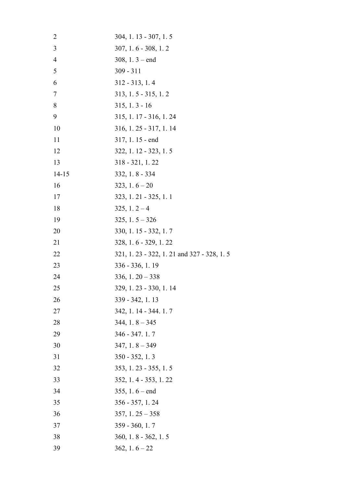| $\overline{2}$ | 304, 1. 13 - 307, 1. 5                      |
|----------------|---------------------------------------------|
| 3              | $307, 1.6 - 308, 1.2$                       |
| $\overline{4}$ | $308, 1.3 - end$                            |
| 5              | $309 - 311$                                 |
| 6              | $312 - 313, 1.4$                            |
| 7              | $313, 1.5 - 315, 1.2$                       |
| 8              | $315, 1.3 - 16$                             |
| 9              | 315, 1.17 - 316, 1.24                       |
| 10             | $316, 1.25 - 317, 1.14$                     |
| 11             | $317, 1.15$ - end                           |
| 12             | 322, 1. 12 - 323, 1. 5                      |
| 13             | $318 - 321, 1.22$                           |
| $14 - 15$      | $332, 1.8 - 334$                            |
| 16             | $323, 1.6 - 20$                             |
| 17             | 323, 1. 21 - 325, 1. 1                      |
| 18             | $325, 1.2 - 4$                              |
| 19             | $325, 1.5 - 326$                            |
| 20             | 330, 1.15 - 332, 1.7                        |
| 21             | 328, 1.6 - 329, 1.22                        |
| 22             | 321, 1. 23 - 322, 1. 21 and 327 - 328, 1. 5 |
| 23             | 336 - 336, 1.19                             |
| 24             | $336, 1.20 - 338$                           |
| 25             | 329, 1. 23 - 330, 1. 14                     |
| 26             | 339 - 342, 1.13                             |
| 27             | 342, 1.14 - 344.1.7                         |
| 28             | $344, 1.8 - 345$                            |
| 29             | 346 - 347. 1. 7                             |
| 30             | $347, 1.8 - 349$                            |
| 31             | $350 - 352, 1.3$                            |
| 32             | 353, 1.23 - 355, 1.5                        |
| 33             | 352, 1.4 - 353, 1.22                        |
| 34             | $355, 1.6 - end$                            |
| 35             | $356 - 357, 1.24$                           |
| 36             | $357, 1.25 - 358$                           |
| 37             | $359 - 360, 1.7$                            |
| 38             | $360, 1.8 - 362, 1.5$                       |
| 39             | $362, 1.6 - 22$                             |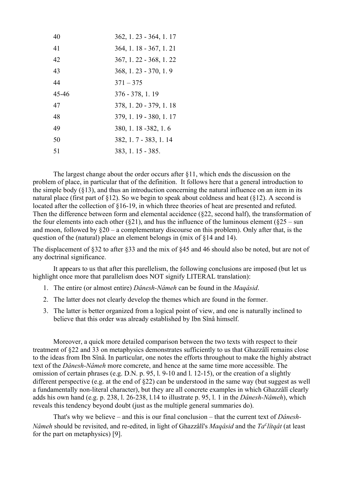| 40    | 362, 1.23 - 364, 1.17   |
|-------|-------------------------|
| 41    | 364, 1. 18 - 367, 1. 21 |
| 42    | 367, 1.22 - 368, 1.22   |
| 43    | $368, 1.23 - 370, 1.9$  |
| 44    | $371 - 375$             |
| 45-46 | 376 - 378, 1.19         |
| 47    | 378, 1.20 - 379, 1.18   |
| 48    | 379, 1.19 - 380, 1.17   |
| 49    | 380, 1.18 - 382, 1.6    |
| 50    | 382, 1.7 - 383, 1.14    |
| 51    | 383, 1.15 - 385.        |
|       |                         |

The largest change about the order occurs after §11, which ends the discussion on the problem of place, in particular that of the definition. It follows here that a general introduction to the simple body  $(\S13)$ , and thus an introduction concerning the natural influence on an item in its natural place (first part of  $\S 12$ ). So we begin to speak about coldness and heat ( $\S 12$ ). A second is located after the collection of §16-19, in which three theories of heat are presented and refuted. Then the difference between form and elemental accidence (§22, second half), the transformation of the four elements into each other ( $\S$ 21), and hus the influence of the luminous element ( $\S$ 25 – sun and moon, followed by  $§20 - a$  complementary discourse on this problem). Only after that, is the question of the (natural) place an element belongs in (mix of §14 and 14).

The displacement of §32 to after §33 and the mix of §45 and 46 should also be noted, but are not of any doctrinal significance.

It appears to us that after this parellelism, the following conclusions are imposed (but let us highlight once more that parallelism does NOT signify LITERAL translation):

- 1. The entire (or almost entire) *Dânesh-Nâmeh* can be found in the *Maqâsid*.
- 2. The latter does not clearly develop the themes which are found in the former.
- 3. The latter is better organized from a logical point of view, and one is naturally inclined to believe that this order was already established by Ibn Sînâ himself.

Moreover, a quick more detailed comparison between the two texts with respect to their treatment of §22 and 33 on metaphysics demonstrates sufficiently to us that Ghazzâlî remains close to the ideas from Ibn Sînâ. In particular, one notes the efforts throughout to make the highly abstract text of the *Dânesh-Nâmeh* more comcrete, and hence at the same time more accessible. The omission of certain phrases (e.g. D.N. p. 95, l. 9-10 and l. 12-15), or the creation of a slightly different perspective (e.g. at the end of §22) can be understood in the same way (but suggest as well a fundamentally non-literal character), but they are all concrete examples in which Ghazzâlî clearly adds his own hand (e.g. p. 238, l. 26-238, l.14 to illustrate p. 95, l. 1 in the *Dânesh-Nâmeh*), which reveals this tendency beyond doubt (just as the multiple general summaries do).

That's why we believe – and this is our final conclusion – that the current text of *Dânesh-Nâmeh* should be revisited, and re-edited, in light of Ghazzâlî's *Maqâsid* and the *Ta c lîtqât* (at least for the part on metaphysics) [9].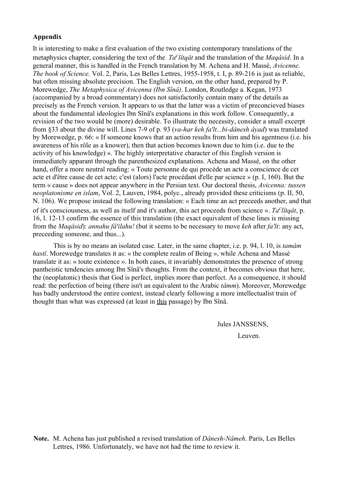### **Appendix**

It is interesting to make a first evaluation of the two existing contemporary translations of the metaphysics chapter, considering the text of the *Ta<sup>c</sup>litqât* and the translation of the *Maqâsid*. In a general manner, this is handled in the French translation by M. Achena and H. Massé, *Avicenne. The book of Science.* Vol. 2, Paris, Les Belles Lettres, 1955-1958, t. I, p. 89-216 is just as reliable, but often missing absolute precision. The English version, on the other hand, prepared by P. Morewedge, *The Metaphysica of Avicenna (Ibn Sînâ)*. London, Routledge a. Kegan, 1973 (accompanied by a broad commentary) does not satisfactorily contain many of the details as precisely as the French version. It appears to us that the latter was a victim of preconcieved biases about the fundamental ideologies Ibn Sînâ's explanations in this work follow. Consequently, a revision of the two would be (more) desirable. To illustrate the necessity, consider a small excerpt from §33 about the divine will. Lines 7-9 of p. 93 (*va-har keh fa'lt...bi-dânesh âyad*) was translated by Morewedge, p. 66: « If someone knows that an action results from him and his agentness (i.e. his awareness of his rôle as a knower), then that action becomes known due to him (i.e. due to the activity of his knowledge) ». The highly interpretative character of this English version is immediately apparant through the parenthesized explanations. Achena and Massé, on the other hand, offer a more neutral reading: « Toute personne de qui procède un acte a conscience de cet acte et d'être cause de cet acte; c'est (alors) l'acte procédant d'elle par science » (p. I, 160). But the term « cause » does not appear anywhere in the Persian text. Our doctoral thesis, *Avicenna: tussen neoplatonisme en islam*, Vol. 2, Lauven, 1984, polyc., already provided these criticisms (p. II, 50, N. 106). We propose instead the following translation: « Each time an act preceeds another, and that of it's consciousness, as well as itself and it's author, this act proceeds from science ». *Ta c lîtqât*, p. 16, l. 12-13 confirm the essence of this translation (the exact equivalent of these lines is missing from the *Maqâsid*): *annahu fâ'ilahu!* (but it seems to be necessary to move *keh* after *fa'lt*: any act, preceeding someone, and thus...).

This is by no means an isolated case. Later, in the same chapter, i.e. p. 94, l. 10, is *tamâm hastî*. Morewedge translates it as: « the complete realm of Being », while Achena and Massé translate it as: « toute existence ». In both cases, it invariably demonstrates the presence of strong pantheistic tendencies among Ibn Sînâ's thoughts. From the context, it becomes obvious that here, the (neoplatonic) thesis that God is perfect, implies more than perfect. As a consequence, it should read: the perfection of being (there isn't an equivalent to the Arabic *tâmm*). Moreover, Morewedge has badly understood the entire context, instead clearly following a more intellectualist train of thought than what was expressed (at least in this passage) by Ibn Sînâ.

Jules JANSSENS,

Leuven.

**Note.** M. Achena has just published a revised translation of *Dânesh-Nâmeh*. Paris, Les Belles Lettres, 1986. Unfortunately, we have not had the time to review it.